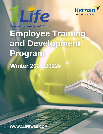



**Workplace Safety Solutions** 

**Employee Training** and Development Program **Winter 2021-2022** 

 $1-866$  and  $2-266$   $\leq$   $266$   $\leq$   $266$   $\leq$   $266$   $\leq$   $266$   $\leq$   $266$   $\leq$   $266$   $\leq$   $266$   $\leq$   $266$   $\leq$   $266$   $\leq$   $266$   $\leq$   $266$   $\leq$   $266$   $\leq$   $266$   $\leq$   $266$   $\leq$   $266$   $\leq$   $266$   $\leq$   $26$ 

**EXAMPLE IN ICE WORKPLACE SOLUTIONS IN A PAGE 11 ICE WORKPLACE SOLUTIONS IN A PAGE 12021** 280 Stradbrook Ave, Winnipeg, MB R3L 0J6 [www.1LifeWSS.com](http://www.1lifewss.com/)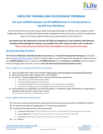

# **EMPLOYEE TRAINING AND DEVELOPMENT PROGRAM:**

# **Get up to \$2500/Employee and \$75,000/Business in Training Grants to Up-Skill Your Workforce.**

At the end of the day, losses due to injury, illness and property damage are paid from your company's profits. Enlightened leaders are realizing that effective safety management demonstrates the true value the organization places on its human capital and that it has a positive effect on the bottom line.

**Your business has the opportunity to increase the skills and competency of your workforce with advanced Workplace Safety Management training, only available from 1Life, and get all tuition costs re-imbursed. Time is of the essence as funds are finite and available on a first come first serve basis.**

## **DETAILS AND HOW TO APPLY**

**The Province of Manitoba**, **Manitoba Chambers of Commerce,** and **Economic Development Winnipeg** have launched the new [Retrain Manitoba Initiative.](https://can01.safelinks.protection.outlook.com/?url=https%3A%2F%2Fcme-mec.ca%2Fblog%2Fretrain-manitoba-grant-program%2F&data=04%7C01%7Ctheo%401lifewss.com%7Cc2098127d40e491ee22608d9ae16d689%7C6a2c9250d348418e930a90248c906135%7C0%7C0%7C637732235380824554%7CUnknown%7CTWFpbGZsb3d8eyJWIjoiMC4wLjAwMDAiLCJQIjoiV2luMzIiLCJBTiI6Ik1haWwiLCJXVCI6Mn0%3D%7C3000&sdata=ZFgGZ7juX6aqg4iROwJTk8zwBKQltm4MKNM8eJHW53c%3D&reserved=0) The \$12.5 million program is a grant for businesses, allowing you reimbursement of up to **\$2500/employee**, (up to a maximum of **\$75,000/company**) for any **retraining** and **upskilling** required to keep up with the changing needs of business, and act as **the next step toward improving economic recovery**.

### **Step 1: Register Your Company Profile for the Initiative:**

- **1) Open the Registration Page for the initiative:<https://www.retrainmanitoba.com/Employer/Registration>**
- **2) On the left-hand side under "Register Now" click "Register"**
- **3) Fill out the "Company Registration Form" featuring all following requirements:** 
	- a. Company Log in and Contact information
	- b. Company Mailing Address & Primary Info
	- c. Company Banking Information (Including a scanned copy of a void cheque)
	- d. Declaration: declaring you acknowledge and consent to all discussed terms
- **4) After sending in your application, you will be brought to a confirmation page, containing your application ID, should you wish to keep a copy for your records.**

*This concludes the first step in the application process.* 

### **Step 2: Apply for Reimbursement Grants:**

- **1) Once your company profile has been approved, you will be prompted to log into the Application Platform.**
- **2) On the left-hand side click "Applications"** → **"Create New Application"**
- **3) You will then be asked to fill out all required fields:**
	- a. **Employee Information**: First & Last Name, Company ID, Job Title/Position, Phone Number, and Hire Status
	- b. **Course Applied For**: Institution Name, Course Name, Course Fees, and Course Start Date
	- c. **Declaration:** Declaring you understand and agree to all terms & conditions
- **4)** Click **"Submit"**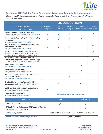

## **Register for 1Life Training Course Streams and Apply Immediately for Re-Imbursement**

*10 seats available for live in class training. All other seats will be virtual format. As conditions evolve, all training may require virtual format.*

|                                                                                                                                                                 | <b>EDUCATION STREAMS</b>              |                          |                           |                          |                        |
|-----------------------------------------------------------------------------------------------------------------------------------------------------------------|---------------------------------------|--------------------------|---------------------------|--------------------------|------------------------|
| <b>Course Name</b><br>= courses included<br>$\checkmark$                                                                                                        | Supervisor/<br>Management             | <b>WSH</b><br>Committees | Safety<br><b>Managers</b> | Safety<br>Administrators | General<br>Contractors |
| Safety Leadership to Drive ROI (Return on<br>Investment): Wed, January 12 <sup>th</sup> 8:00 AM-12:00 PM                                                        |                                       |                          |                           |                          |                        |
| Introduction to NeuroSafety; The Future of Safety<br>Management:<br>Wed, January 19th 8:00 AM-12:00 PM                                                          |                                       |                          |                           |                          |                        |
| How to Manage a Serious Incident to Avoid Legal<br>and Financial Fall-Out:<br>Wed, January 26th 8:00 AM-12:00 PM                                                |                                       |                          |                           |                          |                        |
| Along for the Ride; Avoiding the Pitfalls of Sub-<br>Contractor Management - Part 1: Evaluation &<br>Monitoring: Wed, February 2 <sup>nd</sup> 8:00 AM-12:00 PM |                                       |                          |                           |                          |                        |
| Along for the Ride; Avoiding the Pitfalls of Sub-<br>Contractor Management - Part 2: Monitoring High<br>Risk Work: Wed, February 9th 8:00 AM-12:00 PM           |                                       |                          |                           |                          |                        |
| Safety Administrator - Part 1:<br>Wed, February 16th 8:00 AM-12:00 PM                                                                                           |                                       |                          |                           |                          |                        |
| Safety Administrator - Part 2:<br>Wed, February 23rd 8:00 AM-12:00 PM                                                                                           |                                       |                          |                           |                          |                        |
| Skills for Safety Managers; Are you the Hero, The<br><b>Guide or The Villain?</b><br>Wed, March 2 <sup>nd</sup> 8:00 AM-12:00 PM                                |                                       |                          |                           |                          |                        |
| The Top 5 Drivers of High Functioning WSH<br>Committees: Wed, March 9th 8:00 AM-12:00 PM                                                                        |                                       |                          |                           |                          |                        |
| <b>Building and Maintaining Employee Resilience:</b><br>Wed, March 16th 8:00 AM-12:00 PM                                                                        |                                       |                          |                           |                          |                        |
| <b>Advanced Risk Management:</b>                                                                                                                                | Add on to any Stream for \$100/person |                          |                           |                          |                        |

**Wed, March 23<sup>rd</sup> 8:00 AM-12:00 PM** 

| <b>Tuition Costs</b>                                                                | <b>Basic</b>               | <b>Advanced</b>              |  |
|-------------------------------------------------------------------------------------|----------------------------|------------------------------|--|
| <b>Course Stream: Includes 4 Courses</b>                                            |                            |                              |  |
| 6 Month Follow-Up Coaching: 30 Minutes of Content<br>+60 Minutes of open Q&A/ Month |                            |                              |  |
| <b>Tuition Cost / Person</b>                                                        | \$650 \$500 until Dec 23rd | \$1300 \$1000 until Dec 23rd |  |
| Add on additional courses to your stream                                            | \$125/Person/Course        |                              |  |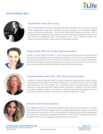

## **1Life Facilitator Bios**



#### **Theo Heineman, CRSP, CHSC, B.Sc.Ag:**

Theo is the President and CEO of 1Life Workplace Safety Solutions. She has over 20 years of Safety Management experience including assisting businesses to successfully navigate serious incidents and prosecution. Theo is also an international speaker and trainer. She is a Certified NeuroChangeSolutions Consultant, personally trained by leading neuroscientist and New York Times bestselling author, Dr Joe Dispenza. She is also a certified trainer in the science and practice of heart coherence by the HeartMath Institute.



#### **Gynelle Pakulak, CRSP, LAIT, Certified Ergonomic Specialist:**

Gynelle is a Safety Professional with 17 + years of experience working across a diverse sector of industries including government and heavy construction industry. She is passionate about ensuring workers go home at the end of the day exactly as they arrived to work. She believes that the well-being and safety of employees does not have to be hard, and her intention is to assist as many people as possible, change the way they think about safety.



#### **Charlotte Goodison-Hnytka, BASc., NCSO, Senior Safety Professional:**

Charlotte is a Safety Professional with 12 + years of experience working across a diverse sector of industries including high risk construction projects. As a welder by trade, she has a deep understanding of real world safety. She is passionate about integrating safety into daily activities in a way that moves from "blame, shame, and retrain" towards a new view of safety by building employee resilience and capacity so that their input and knowledge are used to make systems safer. Charlotte is excited to be writing her CRSP exam in 2022.



#### **Alicia Brown, Client Success Specialist:**

Alicia supports 1Life clients with software platform optimization and training. She is an expert at providing customized client support and encouraging special feature requests to make our clients experience even better. She has a background in Hospitality and Tourism Management and several years of business management experience. Alicia thrives from being involved with companies that have a core purpose of safety and health & wellness.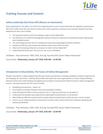

# **Training Courses and Content:**

## **Safety Leadership that Drives ROI (Return on Investment)**

Many organizations "do safety" out of fear of not getting work or just to check the boxes for legislative requirements. Not only is safety done this way hard to sustain but is more expensive, and leaves your business exposed. Learning objectives for this course include:

- The questions leaders need to be asking in order to drive Safety ROI
- The elements of an effective Management System framework required to consistently produce high quality (zero incident) results
- The astounding business case for creating and sustaining a phycological healthy workforce
- Simple but effective ways to generate greater performance with less effort.
- What are the leading indicators to measure in order to drive Safety ROI?
- Leadership Self Assessment Tool you can use in your workplace

Facilitator: Theo Heineman, CRSP, CHSC, B.Sc.Ag. Founder/CEO, Senior Safety Professional

Course Date: **Wednesday, January 12th 2022, 8:00 AM – 12:00 PM**

## **Introduction to NeuroSafety; The Future of Safety Management**

Despite innovations in safety engineering, PPE and massive investments in training, workplace incidents in general are not dropping. On top of that, evolving safety habits and culture for most organizations is a never-ending challenge. Research shows that understanding and applying the principles of neuroscience holds the key for safety management success. Learning outcomes for this course include:

- Simplifying neuroscience what is it?
- Learning the connection between stress and workplace incidents
- Understanding why 90% of safety training is lost in 7 days and what you can do about it
- Understand how peoples past experiences shape beliefs and behaviours in the present
- Why habits are difficult to break and the simple system to break them so that new ones can be created
- How to use an understanding of neuroscience to foster safety culture that drives employee wellbeing and business profitability

Facilitator: Theo Heineman, CRSP, CHSC, B.Sc.Ag. Founder/CEO, Senior Safety Professional

Course Date: **Wednesday, January 19th 2022, 8:00 AM – 12:00 PM**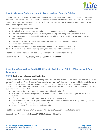

## **How to Manage a Serious Incident to Avoid Legal and Financial Fall-Out**

In many instances businesses find themselves caught off guard and prosecuted 2 years after a serious incident has occurred. Sadly, it could have been avoided with effective management at the time of the incident. How a serious incident is managed can mean tens of thousands of dollars and your company's reputation saved. This course is jam packed. Learning outcomes include:

- How to manage the incident scene
- The pitfalls to avoid when communicating required immediate reporting to authorities
- Requirements to protect your Incident Investigation findings from being used against you in court.
- How to satisfy the regulators quickly and increase the odds of closing your file (and not proceeding with prosecution)
- Elements of an effective investigation that will increase the odds of successful defense
- How to deal with the media
- The biggest mistakes companies make after a serious incident and how to avoid them

#### *Course Pre-requisite (1Life On-Line training course, Included): Incident Investigation Basics*

Facilitator: Theo Heineman, CRSP, CHSC, B.Sc.Ag. Founder/CEO, Senior Safety Professional

Course Date: **Wednesday, January 26th 2022, 8:00 AM – 12:00 PM**

## **Along for a (Bumpy) Ride You Did Not Expect: Avoiding the Pitfalls of Working with Sub-Contractors**

### **PART 1: Contractor Evaluation and Monitoring**

General Contractors are at the effect of everything that Sub-Contractors do or fail to do. When a sub-contractor has "an accident" generally the Prime Contractor "goes along for the legal ride." Fines have recently doubled in Manitoba (up to \$500,000 for a first offence) and no insurance can be purchased for this kind of liability. In addition, incomplete management of Sub-Contractors increases the risk that your projects will experience costly delays and rework. Learning outcomes for this course include:

- How many businesses become Prime Contractor without knowing it?
- A review of the strict legal requirements of Prime Contractors and how you can mitigate the risk to your business.
- Effective management of Sub-Contractors to drives project productivity
- The roadmap to build a due diligence defense BEFORE a serious incident occurs so that you never get caught "going along for the ride" after a serious incident
- Critical Elements of pre-qualification and monitoring

Facilitator: Theo Heineman, CRSP, CHSC, B.Sc.Ag. Founder/CEO, Senior Safety Professional

### Course Date: **Wednesday, February 2nd 2022, 8:00 AM – 12:00 PM**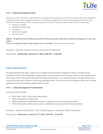

### **PART 2: Monitoring High Risk Work**

If you are a Prime Contractor, responsible for ensuring that every person on the jobsite complies with safety regulations, its important the project managers, supervisors and safety managers have a basic understanding of what safe work looks like for high-risk work. This course provides and overview of what you need to look for when monitoring:

- Working at heights
- Scaffold and Swing stage
- **Excavations**
- Hoisting and rigging
- Electrical work

**BONUS: All High-Risk Work monitoring checklists will be provided to help ensure effective management of your subtrades!**

*Course Pre-requisite (1Life On-Line training course, Included): Prime Contractor Essentials*

Facilitator: Charlotte Goodison-Hnytka, Senior Safety Professional

### Course Date: **Wednesday, February 9th, 2022, 8:00 AM – 12:00 PM**

## **Safety Administrator:**

The safety administrator plays a critical role in all high functioning safety management systems. Having a strong foundation of basic safety knowledge, making safety functions simple and easy for team members, and curating critical data are just a few of the skill sets required! The Safety Administrator is an important monitor and safety performance and can be the first line of defence to the system getting off track. This course is for 1Life Software clients only. Practical application on the 1Life software platform will be a focus.

#### **PART 1: Safety Management Fundamentals**

Learning outcomes include:

- What's your "WHY" as the safety administrator
- Safety management fundamentals
- Safety requirements and frequencies (what is supposed to be done when and by whom)
- What should safety admins do and not do, sample job description and performance objectives

Facilitator: Gynelle Pakulak, CRSP, LAIT, Certified Ergonomic Specialist/ Safety Professional

Course Date: **Wednesday, February 16th, 2022, 8:00 AM – 12:00 PM**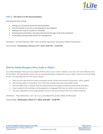

#### **PART 2: The Devil is in the Documentation**

Learning outcomes include:

- Setting up a functional system for documentation
- The finer details of correct record keeping for due diligence
- Making forms easy for workers to complete
- Reviewing documentation; the good, the bad and the ugly; what to be looking for
- Generating meaning safety reports for management

Facilitator: Gynelle Pakulak, CRSP, LAIT, Certified Ergonomic Specialist/ Safety Professional

Course Date: **Wednesday, February 23rd, 2022, 8:00 AM – 12:00 PM**

## **Skills for Safety Managers; Hero, Guide or Villain?**

As a Safety Manager, likely you have played all three roles in your career. However, one role is for more effective than all the others. Not playing the correct role can have devastating consequences to your safety culture and overall safety results. Learning objectives for this course include:

- What are the roles that the various workplace parties should and should not play (hero, villain, guide)?
- Why forcing safety or rewarding "zero" will never provide long term sustainable results
- How the differences in people must be understood and leveraged to optimize productivity and safety
- How to speak to the motivators of management in language that they can easily receive and act on.
- The top 3 negotiation hacks to get people to buy-in and move forward with your safety initiatives

Facilitator: Theo Heineman, CRSP, CHSC, B.Sc.Ag. Founder/CEO, Senior Safety Professional

Course Date: **Wednesday, March 2nd, 2022, 8:00 AM – 12:00 PM**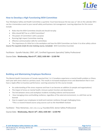

## **How to Develop a High Functioning WSH Committee**

Your Workplace Safety and Health Committee a quarterly 'must have because the law says so" dot on the calendar OR it can be a tremendous asset to your overall safety and business risk management. Learning objectives for this course include:

- Roles that the WSH Committee should and should not play
- Who should NOT be on a WSH Committee?
- The power of Committee's with a purpose
- Running high impact Committee meeting
- Effective communication skills for committees
- The importance of a little fun in the workplace and how the WSH Committee can foster it to drive safety culture

#### *Course Pre-requisite (1Life On-Line training course, Included): WSH Committee Essentials*

Facilitator: Gynelle Pakulak, CRSP, LAIT, Certified Ergonomic Specialist/ Safety Professional

Course Date: **Wednesday, March 9 th, 2022, 8:00 AM – 12:00 PM**

## **Building and Maintaining Employee Resilience**

The Mental Health Commission of Canada reported that 1 in 5 Canadians experience a mental health problem or illness each year with stress sited as a primary cause. This results in increased employee errors and absenteeism that in turn have a ripple effect on business performance. Learning outcomes for this course include:

- An understanding of the stress response and how it can become an addition (in people and organizations)
- The impact of stress on mental health, immune system function and absenteeism
- The link between stress and workplace incidents including violence and harassment
- How managing stress and building resilience, regardless of the external environment, is a skill that can be learned
- How to support your employees to build and maintain resilience through challenging times. *\*This is a research-based course using sources such as the HeartMath Institute*

Facilitator: Theo Heineman, CRSP, CHSC, B.Sc.Ag. Founder/CEO, Senior Safety Professional

Course Date: **Wednesday, March 16th, 2022, 8:00 AM – 12:00 PM**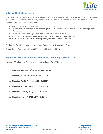

## **Advanced Risk Management**

Risk management is the logical process of evaluating safety risk as acceptable, tolerable, or unacceptable. The challenges that different people see things differently. Not only that, but a person's perception of risk can change from one day. Learning objectives for this course include:

- Why people's perception of risk differs and how to manage it
- How psychological factors play into risk perception and are fundamental to understand in order to implement effective controls
- How to use leading and lagging indicators as a predictor of future losses
- Three useful risk communication tools / techniques to implement in your workplace
- *Course Pre-requisite (1Life On-Line training course, Included): Hazard Awareness*

Facilitator: Theo Heineman, CRSP, CHSC, B.Sc.Ag. Founder/CEO, Senior Safety Professional

Course Date: **Wednesday, March 23rd, 2022, 8:00 AM – 12:00 PM**

## **Education Streams 6-Month Follow Up Coaching Session Dates:**

**Includes:** 30 Minutes of Content + 60 Minutes of open Q&A/ Month

- 1. **Thursday, February 10th, 2022, 12:00 – 1:30 PM**
- 2. **Thursday, March 10th, 2022, 12:00 – 1:30 PM**
- 3. **Thursday, April 14th, 2022, 12:00 – 1:30 PM**
- 4. **Thursday, May 12th, 2022, 12:00 – 1:30 PM**
- 5. **Thursday, June 9th , 2022, 12:00 – 1:30 PM**
- 6. **Thursday, July 14th, 2022, 12:00 – 1:30 PM**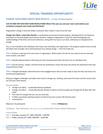

# **SPECIAL TRAINING OPPORTUNITY!**

## **CHANGE YOUR MIND CREATE NEW RESULTS – 1.5 Day Training Program**

### **JUST IN TIME FOR YOUR NEW YEARS RESOLUTIONS! What if this year you and your team could achieve your resolutions and goals more easily and effectively?**

Organization change is hard and seldom sustained. Now it doesn't have to be that way!

**Change Your Mind…Create New Results** is a proprietary neuroscience-based program, developed by Dr Joe Dispenza and based on the latest global neuroscience research. Taking an organization's vision for itself and applying new understandings of the brain and human behaviour, along with four easy to use tools, individuals are empowered to change.

This, in turn transforms the individual, their teams and, ultimately, the organization. This program teaches how to break old habits that no longer serve and bring about true, lasting change — from the inside out.

**STEP 1**: Envision a new future for your team or organization. What would it be like for your team to be less stressed, more creative, and safer?

**STEP 2**: Identify habitual patterns that keep you from moving toward that new future on an individual level.

**STEP 3**: Use the process, models, and tools from the workshop to rewire the brain and unlock the potential of that new, improved future state.

**STEP 4:** Changed individuals collectively form more engaged teams who are then ready to step into that new future of a transformed organization.

Bring your biggest challenges and habits, learn how to change your thinking, and create the future and the success that you and your team desires.

#### **Course includes:**

- Change Your Mind ... Create New Results workbook
- Change Your Mind .... Create New Results 30 days to Genius Journal to guide you through the 30 days after this event
- Four tools for change that you can use every day
- 4 Follow-up private coaching sessions to help ensure your success (30 minutes each)
- Licensing fees

#### Maximum 10 participants **Tuition: \$750/person**

Facilitator: Theo Heineman, CRSP, CHSC, B.Sc.Ag. Founder/CEO, Senior Safety Professional

#### Course Dates:

DAY 1: **Thursday, January 13th, 2022, 8:00 AM – 5:00 PM**  DAY 2: **Friday, January 14th , 2022, 8:00 AM – 12:00 PM**